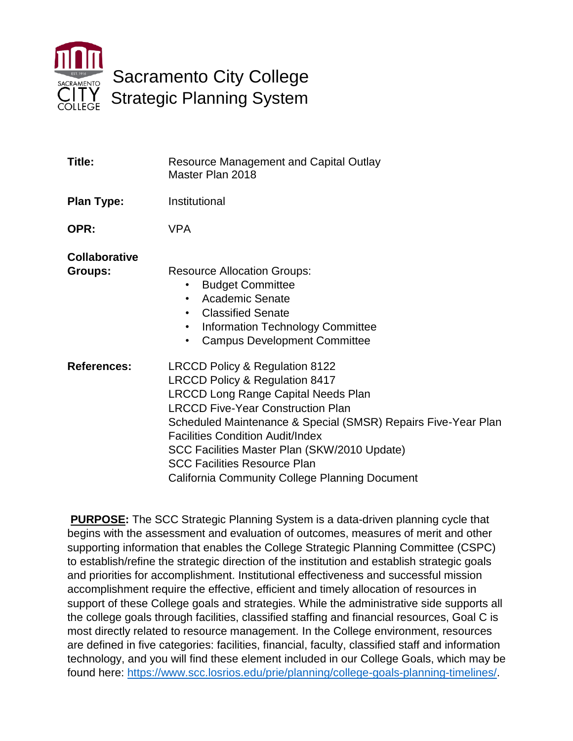

| Title:                          | <b>Resource Management and Capital Outlay</b><br>Master Plan 2018                                                                                                                                                                                                                                                                                                                                                                     |
|---------------------------------|---------------------------------------------------------------------------------------------------------------------------------------------------------------------------------------------------------------------------------------------------------------------------------------------------------------------------------------------------------------------------------------------------------------------------------------|
| <b>Plan Type:</b>               | Institutional                                                                                                                                                                                                                                                                                                                                                                                                                         |
| OPR:                            | <b>VPA</b>                                                                                                                                                                                                                                                                                                                                                                                                                            |
| <b>Collaborative</b><br>Groups: | <b>Resource Allocation Groups:</b><br><b>Budget Committee</b><br>٠<br><b>Academic Senate</b><br>$\bullet$<br><b>Classified Senate</b><br>$\bullet$<br><b>Information Technology Committee</b><br>$\bullet$<br><b>Campus Development Committee</b><br>$\bullet$                                                                                                                                                                        |
| <b>References:</b>              | <b>LRCCD Policy &amp; Regulation 8122</b><br><b>LRCCD Policy &amp; Regulation 8417</b><br><b>LRCCD Long Range Capital Needs Plan</b><br><b>LRCCD Five-Year Construction Plan</b><br>Scheduled Maintenance & Special (SMSR) Repairs Five-Year Plan<br><b>Facilities Condition Audit/Index</b><br>SCC Facilities Master Plan (SKW/2010 Update)<br><b>SCC Facilities Resource Plan</b><br>California Community College Planning Document |

**PURPOSE:** The SCC Strategic Planning System is a data-driven planning cycle that begins with the assessment and evaluation of outcomes, measures of merit and other supporting information that enables the College Strategic Planning Committee (CSPC) to establish/refine the strategic direction of the institution and establish strategic goals and priorities for accomplishment. Institutional effectiveness and successful mission accomplishment require the effective, efficient and timely allocation of resources in support of these College goals and strategies. While the administrative side supports all the college goals through facilities, classified staffing and financial resources, Goal C is most directly related to resource management. In the College environment, resources are defined in five categories: facilities, financial, faculty, classified staff and information technology, and you will find these element included in our College Goals, which may be found here: [https://www.scc.losrios.edu/prie/planning/college-goals-planning-timelines/.](https://www.scc.losrios.edu/prie/planning/college-goals-planning-timelines/)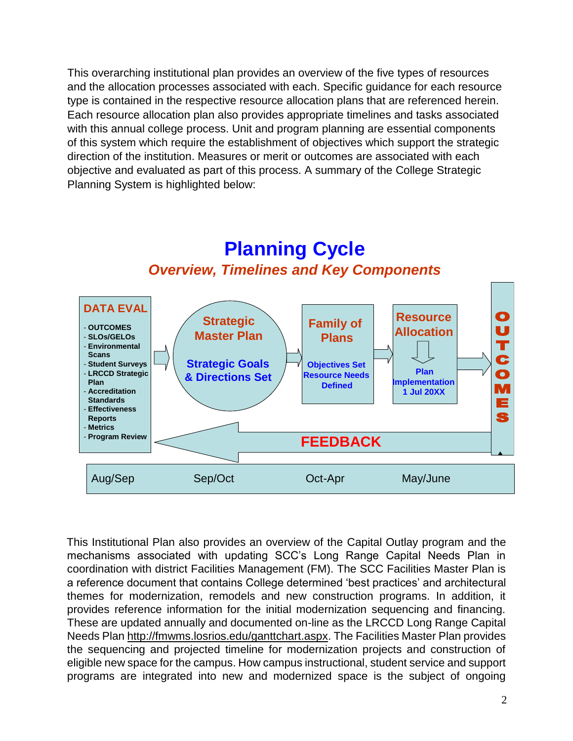This overarching institutional plan provides an overview of the five types of resources and the allocation processes associated with each. Specific guidance for each resource type is contained in the respective resource allocation plans that are referenced herein. Each resource allocation plan also provides appropriate timelines and tasks associated with this annual college process. Unit and program planning are essential components of this system which require the establishment of objectives which support the strategic direction of the institution. Measures or merit or outcomes are associated with each objective and evaluated as part of this process. A summary of the College Strategic Planning System is highlighted below:



# **Planning Cycle** *Overview, Timelines and Key Components*

This Institutional Plan also provides an overview of the Capital Outlay program and the mechanisms associated with updating SCC's Long Range Capital Needs Plan in coordination with district Facilities Management (FM). The SCC Facilities Master Plan is a reference document that contains College determined 'best practices' and architectural themes for modernization, remodels and new construction programs. In addition, it provides reference information for the initial modernization sequencing and financing. These are updated annually and documented on-line as the LRCCD Long Range Capital Needs Plan [http://fmwms.losrios.edu/ganttchart.aspx.](http://fmwms.losrios.edu/ganttchart.aspx) The Facilities Master Plan provides the sequencing and projected timeline for modernization projects and construction of eligible new space for the campus. How campus instructional, student service and support programs are integrated into new and modernized space is the subject of ongoing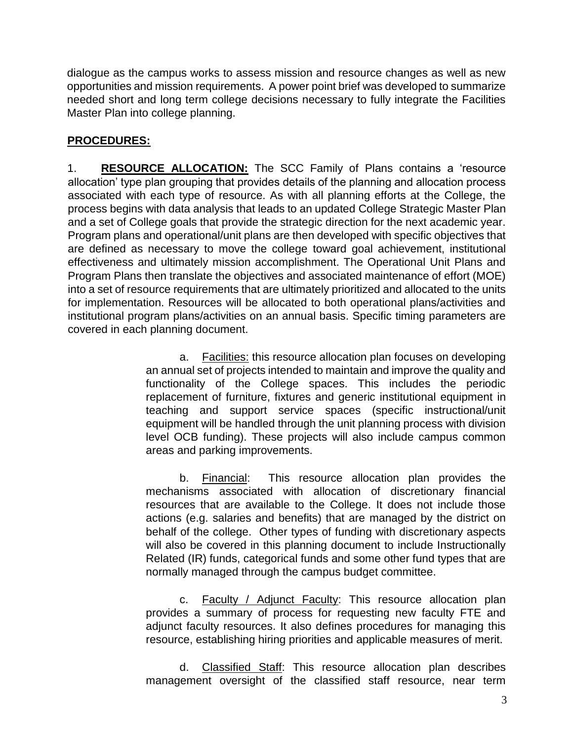dialogue as the campus works to assess mission and resource changes as well as new opportunities and mission requirements. A power point brief was developed to summarize needed short and long term college decisions necessary to fully integrate the Facilities Master Plan into college planning.

### **PROCEDURES:**

1. **RESOURCE ALLOCATION:** The SCC Family of Plans contains a 'resource allocation' type plan grouping that provides details of the planning and allocation process associated with each type of resource. As with all planning efforts at the College, the process begins with data analysis that leads to an updated College Strategic Master Plan and a set of College goals that provide the strategic direction for the next academic year. Program plans and operational/unit plans are then developed with specific objectives that are defined as necessary to move the college toward goal achievement, institutional effectiveness and ultimately mission accomplishment. The Operational Unit Plans and Program Plans then translate the objectives and associated maintenance of effort (MOE) into a set of resource requirements that are ultimately prioritized and allocated to the units for implementation. Resources will be allocated to both operational plans/activities and institutional program plans/activities on an annual basis. Specific timing parameters are covered in each planning document.

> a. Facilities: this resource allocation plan focuses on developing an annual set of projects intended to maintain and improve the quality and functionality of the College spaces. This includes the periodic replacement of furniture, fixtures and generic institutional equipment in teaching and support service spaces (specific instructional/unit equipment will be handled through the unit planning process with division level OCB funding). These projects will also include campus common areas and parking improvements.

> b. Financial: This resource allocation plan provides the mechanisms associated with allocation of discretionary financial resources that are available to the College. It does not include those actions (e.g. salaries and benefits) that are managed by the district on behalf of the college. Other types of funding with discretionary aspects will also be covered in this planning document to include Instructionally Related (IR) funds, categorical funds and some other fund types that are normally managed through the campus budget committee.

> c. Faculty / Adjunct Faculty: This resource allocation plan provides a summary of process for requesting new faculty FTE and adjunct faculty resources. It also defines procedures for managing this resource, establishing hiring priorities and applicable measures of merit.

> d. Classified Staff: This resource allocation plan describes management oversight of the classified staff resource, near term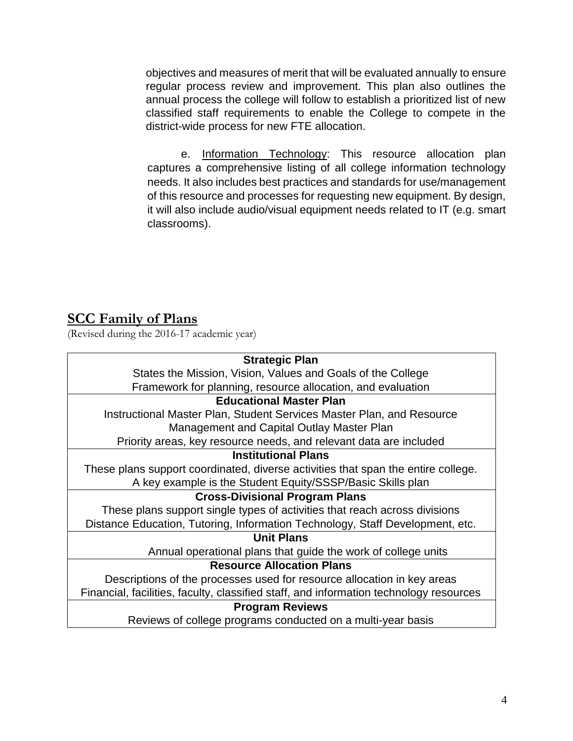objectives and measures of merit that will be evaluated annually to ensure regular process review and improvement. This plan also outlines the annual process the college will follow to establish a prioritized list of new classified staff requirements to enable the College to compete in the district-wide process for new FTE allocation.

e. Information Technology: This resource allocation plan captures a comprehensive listing of all college information technology needs. It also includes best practices and standards for use/management of this resource and processes for requesting new equipment. By design, it will also include audio/visual equipment needs related to IT (e.g. smart classrooms).

## **SCC Family of Plans**

(Revised during the 2016-17 academic year)

| <b>Strategic Plan</b>                                                                  |  |  |  |  |  |  |
|----------------------------------------------------------------------------------------|--|--|--|--|--|--|
| States the Mission, Vision, Values and Goals of the College                            |  |  |  |  |  |  |
| Framework for planning, resource allocation, and evaluation                            |  |  |  |  |  |  |
| <b>Educational Master Plan</b>                                                         |  |  |  |  |  |  |
| Instructional Master Plan, Student Services Master Plan, and Resource                  |  |  |  |  |  |  |
| Management and Capital Outlay Master Plan                                              |  |  |  |  |  |  |
| Priority areas, key resource needs, and relevant data are included                     |  |  |  |  |  |  |
| <b>Institutional Plans</b>                                                             |  |  |  |  |  |  |
| These plans support coordinated, diverse activities that span the entire college.      |  |  |  |  |  |  |
| A key example is the Student Equity/SSSP/Basic Skills plan                             |  |  |  |  |  |  |
| <b>Cross-Divisional Program Plans</b>                                                  |  |  |  |  |  |  |
| These plans support single types of activities that reach across divisions             |  |  |  |  |  |  |
| Distance Education, Tutoring, Information Technology, Staff Development, etc.          |  |  |  |  |  |  |
| <b>Unit Plans</b>                                                                      |  |  |  |  |  |  |
| Annual operational plans that guide the work of college units                          |  |  |  |  |  |  |
| <b>Resource Allocation Plans</b>                                                       |  |  |  |  |  |  |
| Descriptions of the processes used for resource allocation in key areas                |  |  |  |  |  |  |
| Financial, facilities, faculty, classified staff, and information technology resources |  |  |  |  |  |  |
| <b>Program Reviews</b>                                                                 |  |  |  |  |  |  |
| Reviews of college programs conducted on a multi-year basis                            |  |  |  |  |  |  |
|                                                                                        |  |  |  |  |  |  |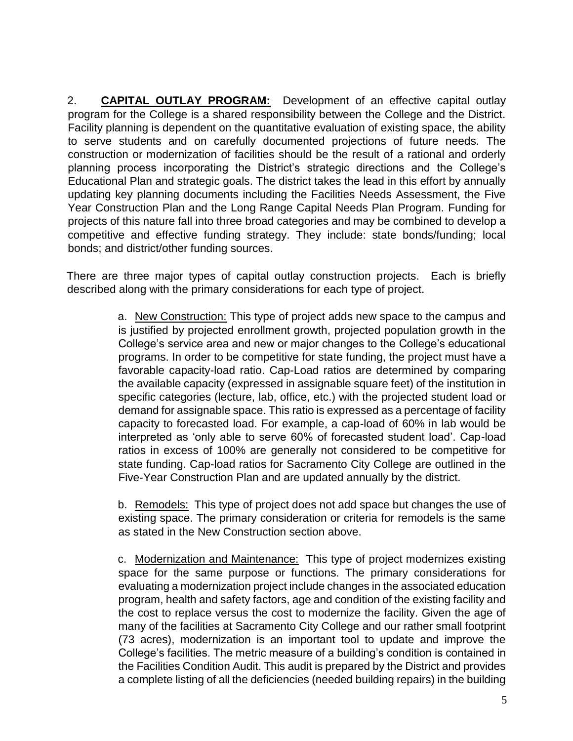2. **CAPITAL OUTLAY PROGRAM:** Development of an effective capital outlay program for the College is a shared responsibility between the College and the District. Facility planning is dependent on the quantitative evaluation of existing space, the ability to serve students and on carefully documented projections of future needs. The construction or modernization of facilities should be the result of a rational and orderly planning process incorporating the District's strategic directions and the College's Educational Plan and strategic goals. The district takes the lead in this effort by annually updating key planning documents including the Facilities Needs Assessment, the Five Year Construction Plan and the Long Range Capital Needs Plan Program. Funding for projects of this nature fall into three broad categories and may be combined to develop a competitive and effective funding strategy. They include: state bonds/funding; local bonds; and district/other funding sources.

There are three major types of capital outlay construction projects. Each is briefly described along with the primary considerations for each type of project.

> a. New Construction: This type of project adds new space to the campus and is justified by projected enrollment growth, projected population growth in the College's service area and new or major changes to the College's educational programs. In order to be competitive for state funding, the project must have a favorable capacity-load ratio. Cap-Load ratios are determined by comparing the available capacity (expressed in assignable square feet) of the institution in specific categories (lecture, lab, office, etc.) with the projected student load or demand for assignable space. This ratio is expressed as a percentage of facility capacity to forecasted load. For example, a cap-load of 60% in lab would be interpreted as 'only able to serve 60% of forecasted student load'. Cap-load ratios in excess of 100% are generally not considered to be competitive for state funding. Cap-load ratios for Sacramento City College are outlined in the Five-Year Construction Plan and are updated annually by the district.

> b. Remodels: This type of project does not add space but changes the use of existing space. The primary consideration or criteria for remodels is the same as stated in the New Construction section above.

> c. Modernization and Maintenance: This type of project modernizes existing space for the same purpose or functions. The primary considerations for evaluating a modernization project include changes in the associated education program, health and safety factors, age and condition of the existing facility and the cost to replace versus the cost to modernize the facility. Given the age of many of the facilities at Sacramento City College and our rather small footprint (73 acres), modernization is an important tool to update and improve the College's facilities. The metric measure of a building's condition is contained in the Facilities Condition Audit. This audit is prepared by the District and provides a complete listing of all the deficiencies (needed building repairs) in the building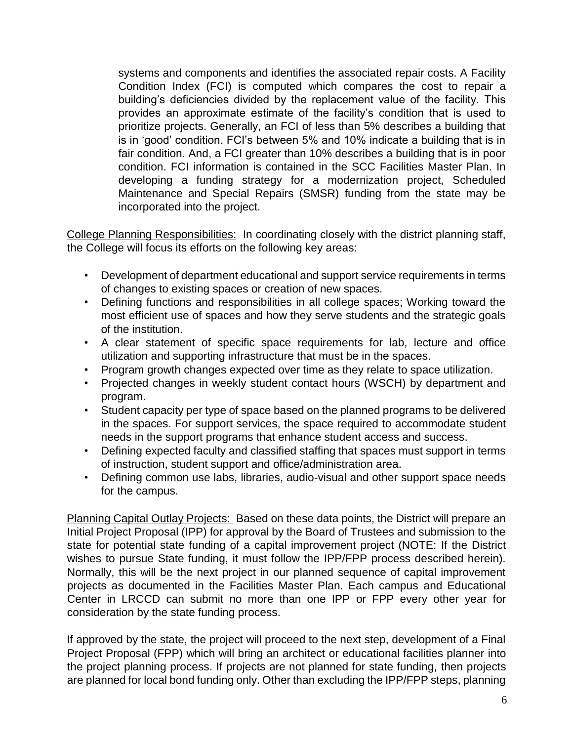systems and components and identifies the associated repair costs. A Facility Condition Index (FCI) is computed which compares the cost to repair a building's deficiencies divided by the replacement value of the facility. This provides an approximate estimate of the facility's condition that is used to prioritize projects. Generally, an FCI of less than 5% describes a building that is in 'good' condition. FCI's between 5% and 10% indicate a building that is in fair condition. And, a FCI greater than 10% describes a building that is in poor condition. FCI information is contained in the SCC Facilities Master Plan. In developing a funding strategy for a modernization project, Scheduled Maintenance and Special Repairs (SMSR) funding from the state may be incorporated into the project.

College Planning Responsibilities: In coordinating closely with the district planning staff, the College will focus its efforts on the following key areas:

- Development of department educational and support service requirements in terms of changes to existing spaces or creation of new spaces.
- Defining functions and responsibilities in all college spaces; Working toward the most efficient use of spaces and how they serve students and the strategic goals of the institution.
- A clear statement of specific space requirements for lab, lecture and office utilization and supporting infrastructure that must be in the spaces.
- Program growth changes expected over time as they relate to space utilization.
- Projected changes in weekly student contact hours (WSCH) by department and program.
- Student capacity per type of space based on the planned programs to be delivered in the spaces. For support services, the space required to accommodate student needs in the support programs that enhance student access and success.
- Defining expected faculty and classified staffing that spaces must support in terms of instruction, student support and office/administration area.
- Defining common use labs, libraries, audio-visual and other support space needs for the campus.

Planning Capital Outlay Projects: Based on these data points, the District will prepare an Initial Project Proposal (IPP) for approval by the Board of Trustees and submission to the state for potential state funding of a capital improvement project (NOTE: If the District wishes to pursue State funding, it must follow the IPP/FPP process described herein). Normally, this will be the next project in our planned sequence of capital improvement projects as documented in the Facilities Master Plan. Each campus and Educational Center in LRCCD can submit no more than one IPP or FPP every other year for consideration by the state funding process.

If approved by the state, the project will proceed to the next step, development of a Final Project Proposal (FPP) which will bring an architect or educational facilities planner into the project planning process. If projects are not planned for state funding, then projects are planned for local bond funding only. Other than excluding the IPP/FPP steps, planning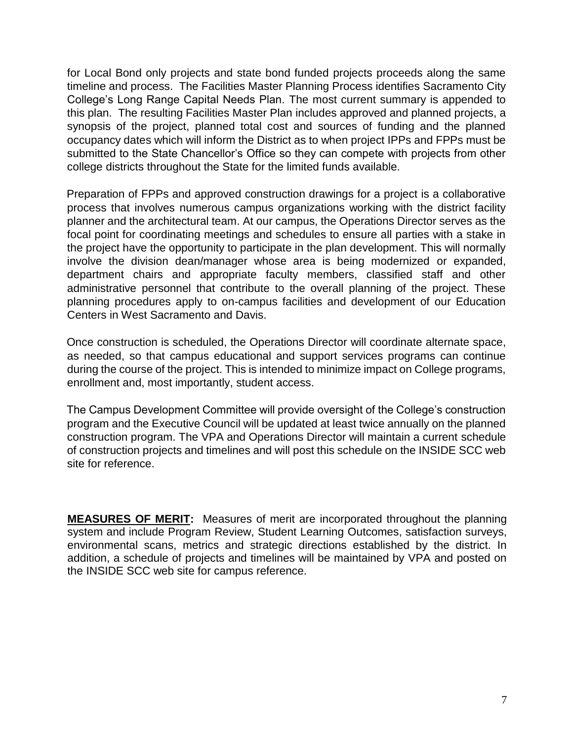for Local Bond only projects and state bond funded projects proceeds along the same timeline and process. The Facilities Master Planning Process identifies Sacramento City College's Long Range Capital Needs Plan. The most current summary is appended to this plan. The resulting Facilities Master Plan includes approved and planned projects, a synopsis of the project, planned total cost and sources of funding and the planned occupancy dates which will inform the District as to when project IPPs and FPPs must be submitted to the State Chancellor's Office so they can compete with projects from other college districts throughout the State for the limited funds available.

Preparation of FPPs and approved construction drawings for a project is a collaborative process that involves numerous campus organizations working with the district facility planner and the architectural team. At our campus, the Operations Director serves as the focal point for coordinating meetings and schedules to ensure all parties with a stake in the project have the opportunity to participate in the plan development. This will normally involve the division dean/manager whose area is being modernized or expanded, department chairs and appropriate faculty members, classified staff and other administrative personnel that contribute to the overall planning of the project. These planning procedures apply to on-campus facilities and development of our Education Centers in West Sacramento and Davis.

Once construction is scheduled, the Operations Director will coordinate alternate space, as needed, so that campus educational and support services programs can continue during the course of the project. This is intended to minimize impact on College programs, enrollment and, most importantly, student access.

The Campus Development Committee will provide oversight of the College's construction program and the Executive Council will be updated at least twice annually on the planned construction program. The VPA and Operations Director will maintain a current schedule of construction projects and timelines and will post this schedule on the INSIDE SCC web site for reference.

**MEASURES OF MERIT:** Measures of merit are incorporated throughout the planning system and include Program Review, Student Learning Outcomes, satisfaction surveys, environmental scans, metrics and strategic directions established by the district. In addition, a schedule of projects and timelines will be maintained by VPA and posted on the INSIDE SCC web site for campus reference.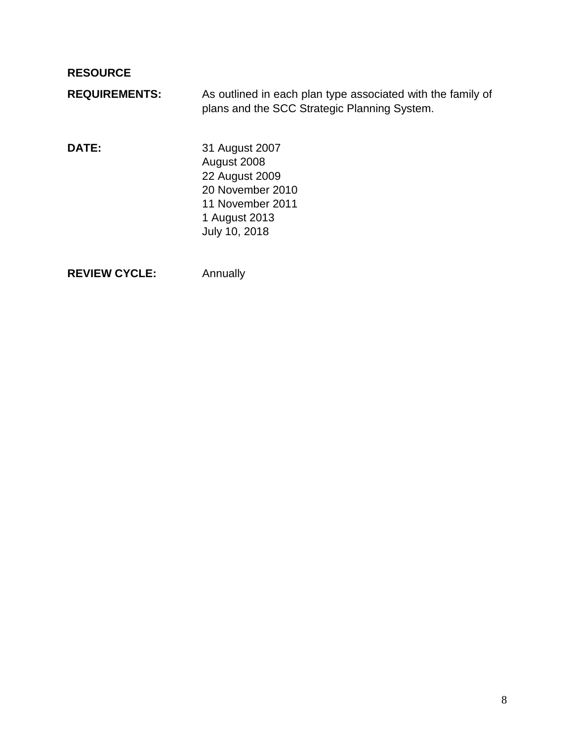#### **RESOURCE**

| <b>REQUIREMENTS:</b> | As outlined in each plan type associated with the family of |
|----------------------|-------------------------------------------------------------|
|                      | plans and the SCC Strategic Planning System.                |

**DATE:** 31 August 2007 August 2008 22 August 2009 20 November 2010 11 November 2011 1 August 2013 July 10, 2018

**REVIEW CYCLE:** Annually